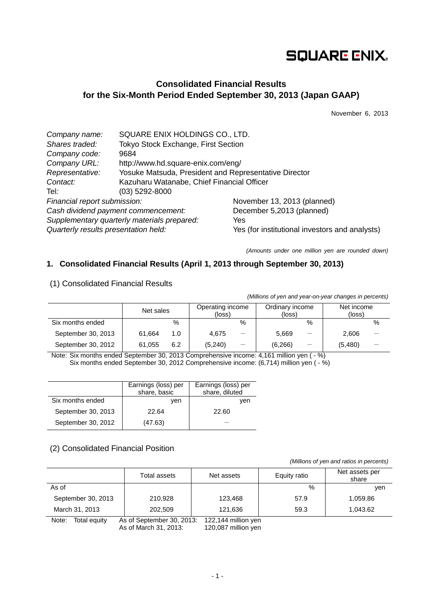# **SQUARE ENIX.**

## **Consolidated Financial Results for the Six-Month Period Ended September 30, 2013 (Japan GAAP)**

November 6, 2013

| Company name:                        | SQUARE ENIX HOLDINGS CO., LTD.                        |                                                |  |  |
|--------------------------------------|-------------------------------------------------------|------------------------------------------------|--|--|
| Shares traded:                       | Tokyo Stock Exchange, First Section                   |                                                |  |  |
| Company code:                        | 9684                                                  |                                                |  |  |
| Company URL:                         | http://www.hd.square-enix.com/eng/                    |                                                |  |  |
| Representative:                      | Yosuke Matsuda, President and Representative Director |                                                |  |  |
| Contact:                             | Kazuharu Watanabe, Chief Financial Officer            |                                                |  |  |
| Tel <i>:</i> ⊣                       | $(03)$ 5292-8000                                      |                                                |  |  |
| Financial report submission:         |                                                       | November 13, 2013 (planned)                    |  |  |
| Cash dividend payment commencement:  |                                                       | December 5,2013 (planned)                      |  |  |
|                                      | Supplementary quarterly materials prepared:           | Yes                                            |  |  |
| Quarterly results presentation held: |                                                       | Yes (for institutional investors and analysts) |  |  |

*(Amounts under one million yen are rounded down)*

## **1. Consolidated Financial Results (April 1, 2013 through September 30, 2013)**

| (1) Consolidated Financial Results |  |
|------------------------------------|--|
|                                    |  |

*(Millions of yen and year-on-year changes in percents)*

|                    | Net sales |     | Operating income<br>(loss) |                          | Ordinary income<br>(loss) |                 | Net income<br>(loss) |      |
|--------------------|-----------|-----|----------------------------|--------------------------|---------------------------|-----------------|----------------------|------|
| Six months ended   |           | %   |                            | %                        |                           | %               |                      | $\%$ |
| September 30, 2013 | 61.664    | 1.0 | 4.675                      | $\overline{\phantom{0}}$ | 5,669                     |                 | 2,606                |      |
| September 30, 2012 | 61.055    | 6.2 | (5, 240)                   | $\overline{\phantom{0}}$ | (6,266)                   | $\qquad \qquad$ | (5,480)              |      |

Note: Six months ended September 30, 2013 Comprehensive income: 4,161 million yen ( - %) Six months ended September 30, 2012 Comprehensive income: (6,714) million yen ( - %)

|                    | Earnings (loss) per<br>share, basic | Earnings (loss) per<br>share, diluted |
|--------------------|-------------------------------------|---------------------------------------|
| Six months ended   | ven                                 | ven                                   |
| September 30, 2013 | 22.64                               | 22.60                                 |
| September 30, 2012 | (47.63)                             |                                       |

## (2) Consolidated Financial Position

*(Millions of yen and ratios in percents)*

|                       | Total assets               | Net assets          | Equity ratio | Net assets per<br>share |
|-----------------------|----------------------------|---------------------|--------------|-------------------------|
| As of                 |                            |                     | %            | ven                     |
| September 30, 2013    | 210.928                    | 123.468             | 57.9         | 1,059.86                |
| March 31, 2013        | 202,509                    | 121,636             | 59.3         | 1,043.62                |
| Note:<br>vtiune IetoT | As of Sentember 30, $2013$ | 122 144 million ven |              |                         |

Note: Total equity As of September 30, 2013: 122,144 million yen As of March 31, 2013: 120,087 million yen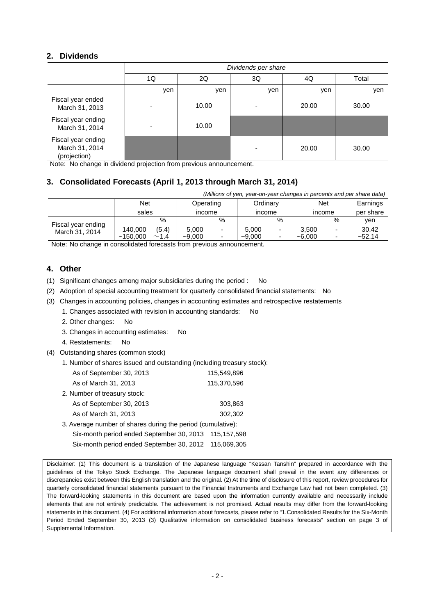## **2. Dividends**

|                                                      | Dividends per share |       |     |       |       |  |  |
|------------------------------------------------------|---------------------|-------|-----|-------|-------|--|--|
|                                                      | 1Q                  | 2Q    | 3Q  | 4Q    | Total |  |  |
|                                                      | yen                 | yen   | yen | yen   | yen   |  |  |
| Fiscal year ended<br>March 31, 2013                  |                     | 10.00 |     | 20.00 | 30.00 |  |  |
| Fiscal year ending<br>March 31, 2014                 |                     | 10.00 |     |       |       |  |  |
| Fiscal year ending<br>March 31, 2014<br>(projection) |                     |       |     | 20.00 | 30.00 |  |  |

Note: No change in dividend projection from previous announcement.

## **3. Consolidated Forecasts (April 1, 2013 through March 31, 2014)**

| (Millions of yen, year-on-year changes in percents and per share data) |          |       |           |   |          |      |          |   |           |
|------------------------------------------------------------------------|----------|-------|-----------|---|----------|------|----------|---|-----------|
|                                                                        | Net      |       | Operating |   | Ordinary |      | Net      |   | Earnings  |
|                                                                        | sales    |       | income    |   | income   |      | income   |   | per share |
| Fiscal year ending                                                     |          | $\%$  |           | % |          | $\%$ |          | % | ven       |
| March 31, 2014                                                         | 140,000  | (5.4) | 5.000     |   | 5.000    |      | 3,500    |   | 30.42     |
|                                                                        | ~150.000 | ~1.4  | $-9.000$  | - | $-9.000$ |      | $-6,000$ |   | ~52.14    |

Note: No change in consolidated forecasts from previous announcement.

## **4. Other**

(1) Significant changes among major subsidiaries during the period : No

- (2) Adoption of special accounting treatment for quarterly consolidated financial statements: No
- (3) Changes in accounting policies, changes in accounting estimates and retrospective restatements
	- 1. Changes associated with revision in accounting standards: No
	- 2. Other changes: No
	- 3. Changes in accounting estimates: No
	- 4. Restatements: No
- (4) Outstanding shares (common stock)
	- 1. Number of shares issued and outstanding (including treasury stock):

| As of September 30, 2013                                    | 115,549,896 |
|-------------------------------------------------------------|-------------|
| As of March 31, 2013                                        | 115,370,596 |
| 2. Number of treasury stock:                                |             |
| As of September 30, 2013                                    | 303,863     |
| As of March 31, 2013                                        | 302,302     |
| 3. Average number of shares during the period (cumulative): |             |
|                                                             |             |

Six-month period ended September 30, 2013 115,157,598 Six-month period ended September 30, 2012 115,069,305

Disclaimer: (1) This document is a translation of the Japanese language "Kessan Tanshin" prepared in accordance with the guidelines of the Tokyo Stock Exchange. The Japanese language document shall prevail in the event any differences or discrepancies exist between this English translation and the original. (2) At the time of disclosure of this report, review procedures for quarterly consolidated financial statements pursuant to the Financial Instruments and Exchange Law had not been completed. (3) The forward-looking statements in this document are based upon the information currently available and necessarily include elements that are not entirely predictable. The achievement is not promised. Actual results may differ from the forward-looking statements in this document. (4) For additional information about forecasts, please refer to "1.Consolidated Results for the Six-Month Period Ended September 30, 2013 (3) Qualitative information on consolidated business forecasts" section on page 3 of Supplemental Information.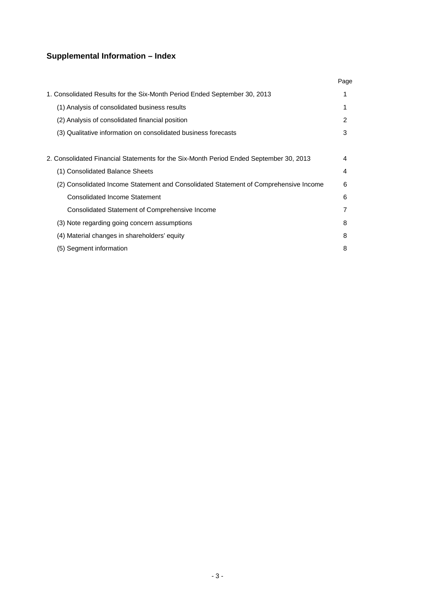## **Supplemental Information – Index**

|                                                                                        | Page |
|----------------------------------------------------------------------------------------|------|
| 1. Consolidated Results for the Six-Month Period Ended September 30, 2013              |      |
| (1) Analysis of consolidated business results                                          |      |
| (2) Analysis of consolidated financial position                                        | 2    |
| (3) Qualitative information on consolidated business forecasts                         | 3    |
|                                                                                        |      |
| 2. Consolidated Financial Statements for the Six-Month Period Ended September 30, 2013 | 4    |
| (1) Consolidated Balance Sheets                                                        | 4    |
| (2) Consolidated Income Statement and Consolidated Statement of Comprehensive Income   | 6    |
| Consolidated Income Statement                                                          | 6    |
| Consolidated Statement of Comprehensive Income                                         | 7    |
| (3) Note regarding going concern assumptions                                           | 8    |
| (4) Material changes in shareholders' equity                                           | 8    |
| (5) Segment information                                                                | 8    |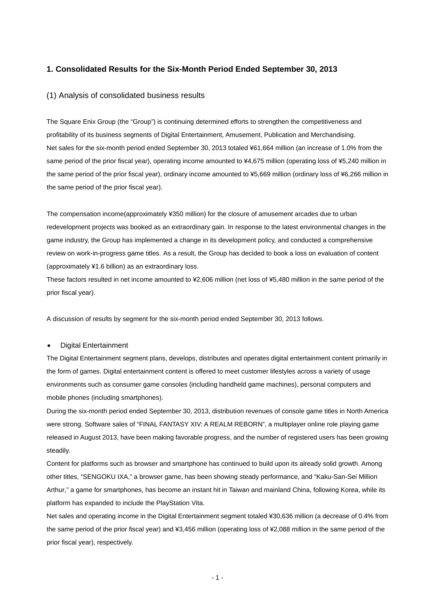### **1. Consolidated Results for the Six-Month Period Ended September 30, 2013**

#### (1) Analysis of consolidated business results

The Square Enix Group (the "Group") is continuing determined efforts to strengthen the competitiveness and profitability of its business segments of Digital Entertainment, Amusement, Publication and Merchandising. Net sales for the six-month period ended September 30, 2013 totaled ¥61,664 million (an increase of 1.0% from the same period of the prior fiscal year), operating income amounted to ¥4,675 million (operating loss of ¥5,240 million in the same period of the prior fiscal year), ordinary income amounted to ¥5,669 million (ordinary loss of ¥6,266 million in the same period of the prior fiscal year).

The compensation income(approximately ¥350 million) for the closure of amusement arcades due to urban redevelopment projects was booked as an extraordinary gain. In response to the latest environmental changes in the game industry, the Group has implemented a change in its development policy, and conducted a comprehensive review on work-in-progress game titles. As a result, the Group has decided to book a loss on evaluation of content (approximately ¥1.6 billion) as an extraordinary loss.

These factors resulted in net income amounted to ¥2,606 million (net loss of ¥5,480 million in the same period of the prior fiscal year).

A discussion of results by segment for the six-month period ended September 30, 2013 follows.

#### • Digital Entertainment

The Digital Entertainment segment plans, develops, distributes and operates digital entertainment content primarily in the form of games. Digital entertainment content is offered to meet customer lifestyles across a variety of usage environments such as consumer game consoles (including handheld game machines), personal computers and mobile phones (including smartphones).

During the six-month period ended September 30, 2013, distribution revenues of console game titles in North America were strong. Software sales of "FINAL FANTASY XIV: A REALM REBORN", a multiplayer online role playing game released in August 2013, have been making favorable progress, and the number of registered users has been growing steadily.

Content for platforms such as browser and smartphone has continued to build upon its already solid growth. Among other titles, "SENGOKU IXA," a browser game, has been showing steady performance, and "Kaku-San-Sei Million Arthur," a game for smartphones, has become an instant hit in Taiwan and mainland China, following Korea, while its platform has expanded to include the PlayStation Vita.

Net sales and operating income in the Digital Entertainment segment totaled ¥30,636 million (a decrease of 0.4% from the same period of the prior fiscal year) and ¥3,456 million (operating loss of ¥2,088 million in the same period of the prior fiscal year), respectively.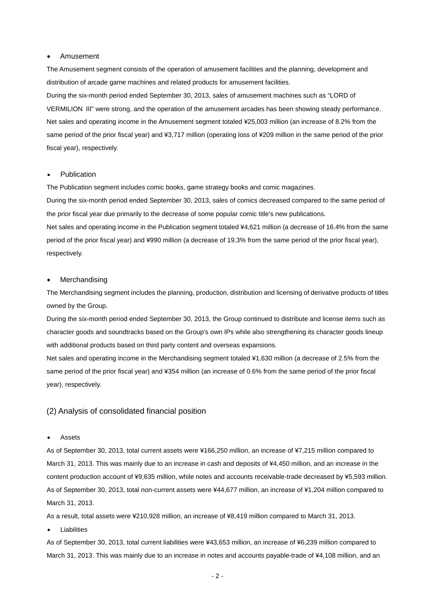#### • Amusement

The Amusement segment consists of the operation of amusement facilities and the planning, development and distribution of arcade game machines and related products for amusement facilities.

During the six-month period ended September 30, 2013, sales of amusement machines such as "LORD of VERMILION Ⅲ" were strong, and the operation of the amusement arcades has been showing steady performance. Net sales and operating income in the Amusement segment totaled ¥25,003 million (an increase of 8.2% from the same period of the prior fiscal year) and ¥3,717 million (operating loss of ¥209 million in the same period of the prior fiscal year), respectively.

#### **Publication**

The Publication segment includes comic books, game strategy books and comic magazines.

During the six-month period ended September 30, 2013, sales of comics decreased compared to the same period of the prior fiscal year due primarily to the decrease of some popular comic title's new publications.

Net sales and operating income in the Publication segment totaled ¥4,621 million (a decrease of 16.4% from the same period of the prior fiscal year) and ¥990 million (a decrease of 19.3% from the same period of the prior fiscal year), respectively.

#### **Merchandising**

The Merchandising segment includes the planning, production, distribution and licensing of derivative products of titles owned by the Group.

During the six-month period ended September 30, 2013, the Group continued to distribute and license items such as character goods and soundtracks based on the Group's own IPs while also strengthening its character goods lineup with additional products based on third party content and overseas expansions.

Net sales and operating income in the Merchandising segment totaled ¥1,630 million (a decrease of 2.5% from the same period of the prior fiscal year) and ¥354 million (an increase of 0.6% from the same period of the prior fiscal year), respectively.

#### (2) Analysis of consolidated financial position

#### • Assets

As of September 30, 2013, total current assets were ¥166,250 million, an increase of ¥7,215 million compared to March 31, 2013. This was mainly due to an increase in cash and deposits of ¥4,450 million, and an increase in the content production account of ¥9,635 million, while notes and accounts receivable-trade decreased by ¥5,593 million. As of September 30, 2013, total non-current assets were ¥44,677 million, an increase of ¥1,204 million compared to March 31, 2013.

As a result, total assets were ¥210,928 million, an increase of ¥8,419 million compared to March 31, 2013.

**Liabilities** 

As of September 30, 2013, total current liabilities were ¥43,653 million, an increase of ¥6,239 million compared to March 31, 2013. This was mainly due to an increase in notes and accounts payable-trade of ¥4,108 million, and an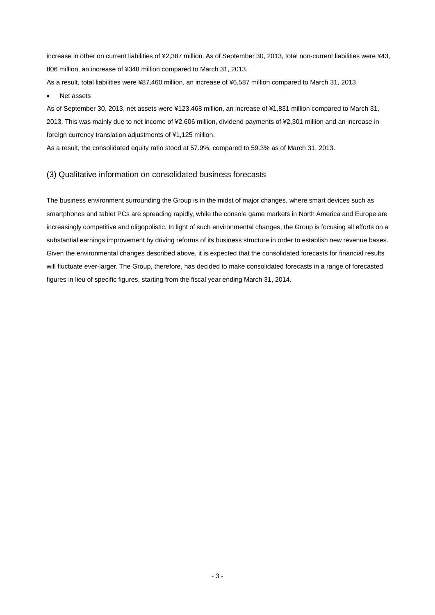increase in other on current liabilities of ¥2,387 million. As of September 30, 2013, total non-current liabilities were ¥43, 806 million, an increase of ¥348 million compared to March 31, 2013.

As a result, total liabilities were ¥87,460 million, an increase of ¥6,587 million compared to March 31, 2013.

• Net assets

As of September 30, 2013, net assets were ¥123,468 million, an increase of ¥1,831 million compared to March 31, 2013. This was mainly due to net income of ¥2,606 million, dividend payments of ¥2,301 million and an increase in foreign currency translation adjustments of ¥1,125 million.

As a result, the consolidated equity ratio stood at 57.9%, compared to 59.3% as of March 31, 2013.

### (3) Qualitative information on consolidated business forecasts

The business environment surrounding the Group is in the midst of major changes, where smart devices such as smartphones and tablet PCs are spreading rapidly, while the console game markets in North America and Europe are increasingly competitive and oligopolistic. In light of such environmental changes, the Group is focusing all efforts on a substantial earnings improvement by driving reforms of its business structure in order to establish new revenue bases. Given the environmental changes described above, it is expected that the consolidated forecasts for financial results will fluctuate ever-larger. The Group, therefore, has decided to make consolidated forecasts in a range of forecasted figures in lieu of specific figures, starting from the fiscal year ending March 31, 2014.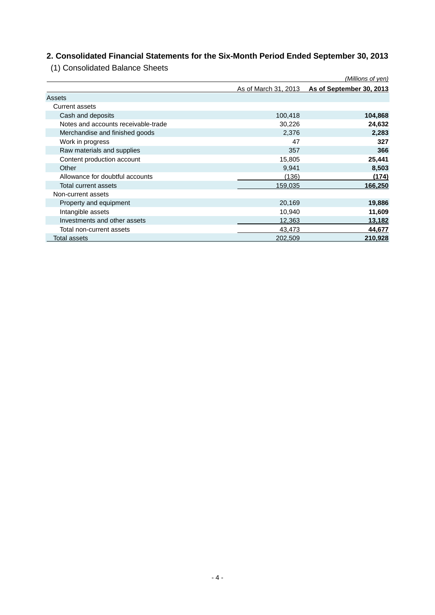## **2. Consolidated Financial Statements for the Six-Month Period Ended September 30, 2013**

(1) Consolidated Balance Sheets

|                                     |                      | (Millions of yen)        |
|-------------------------------------|----------------------|--------------------------|
|                                     | As of March 31, 2013 | As of September 30, 2013 |
| Assets                              |                      |                          |
| Current assets                      |                      |                          |
| Cash and deposits                   | 100,418              | 104,868                  |
| Notes and accounts receivable-trade | 30,226               | 24,632                   |
| Merchandise and finished goods      | 2,376                | 2,283                    |
| Work in progress                    | 47                   | 327                      |
| Raw materials and supplies          | 357                  | 366                      |
| Content production account          | 15,805               | 25,441                   |
| Other                               | 9,941                | 8,503                    |
| Allowance for doubtful accounts     | (136)                | (174)                    |
| Total current assets                | 159,035              | 166,250                  |
| Non-current assets                  |                      |                          |
| Property and equipment              | 20,169               | 19,886                   |
| Intangible assets                   | 10,940               | 11,609                   |
| Investments and other assets        | 12,363               | 13,182                   |
| Total non-current assets            | 43,473               | 44,677                   |
| Total assets                        | 202,509              | 210,928                  |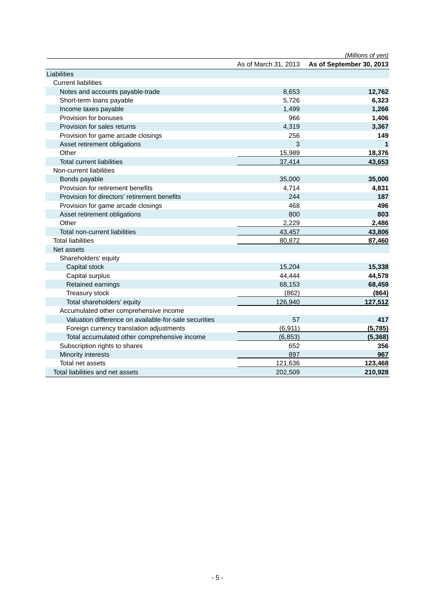|                                                       |                      | (Millions of yen)        |
|-------------------------------------------------------|----------------------|--------------------------|
|                                                       | As of March 31, 2013 | As of September 30, 2013 |
| Liabilities                                           |                      |                          |
| <b>Current liabilities</b>                            |                      |                          |
| Notes and accounts payable-trade                      | 8,653                | 12,762                   |
| Short-term loans payable                              | 5,726                | 6,323                    |
| Income taxes payable                                  | 1,499                | 1,266                    |
| Provision for bonuses                                 | 966                  | 1,406                    |
| Provision for sales returns                           | 4,319                | 3,367                    |
| Provision for game arcade closings                    | 256                  | 149                      |
| Asset retirement obligations                          | 3                    | 1                        |
| Other                                                 | 15,989               | 18,376                   |
| <b>Total current liabilities</b>                      | 37,414               | 43,653                   |
| Non-current liabilities                               |                      |                          |
| Bonds payable                                         | 35,000               | 35,000                   |
| Provision for retirement benefits                     | 4,714                | 4,831                    |
| Provision for directors' retirement benefits          | 244                  | 187                      |
| Provision for game arcade closings                    | 468                  | 496                      |
| Asset retirement obligations                          | 800                  | 803                      |
| Other                                                 | 2,229                | 2,486                    |
| Total non-current liabilities                         | 43,457               | 43,806                   |
| <b>Total liabilities</b>                              | 80,872               | 87,460                   |
| Net assets                                            |                      |                          |
| Shareholders' equity                                  |                      |                          |
| Capital stock                                         | 15,204               | 15,338                   |
| Capital surplus                                       | 44,444               | 44,578                   |
| Retained earnings                                     | 68,153               | 68,459                   |
| Treasury stock                                        | (862)                | (864)                    |
| Total shareholders' equity                            | 126,940              | 127,512                  |
| Accumulated other comprehensive income                |                      |                          |
| Valuation difference on available-for-sale securities | 57                   | 417                      |
| Foreign currency translation adjustments              | (6, 911)             | (5,785)                  |
| Total accumulated other comprehensive income          | (6, 853)             | (5,368)                  |
| Subscription rights to shares                         | 652                  | 356                      |
| Minority interests                                    | 897                  | 967                      |
| Total net assets                                      | 121,636              | 123,468                  |
| Total liabilities and net assets                      | 202,509              | 210,928                  |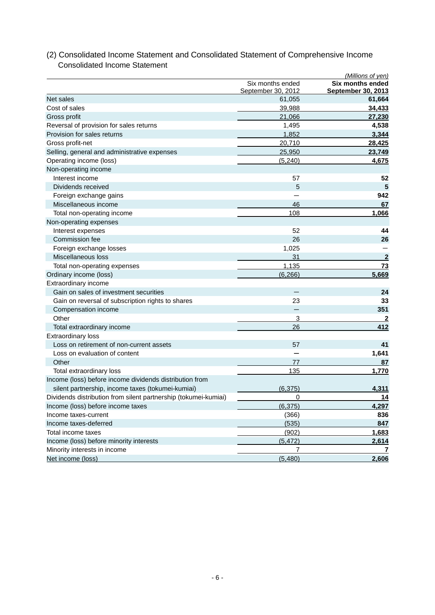|                                                                 |                                        | (Millions of yen)                             |
|-----------------------------------------------------------------|----------------------------------------|-----------------------------------------------|
|                                                                 | Six months ended<br>September 30, 2012 | Six months ended<br><b>September 30, 2013</b> |
| Net sales                                                       | 61,055                                 | 61,664                                        |
| Cost of sales                                                   | 39,988                                 | 34,433                                        |
| Gross profit                                                    | 21,066                                 | 27,230                                        |
| Reversal of provision for sales returns                         | 1,495                                  | 4,538                                         |
| Provision for sales returns                                     | 1,852                                  | 3,344                                         |
| Gross profit-net                                                | 20,710                                 | 28,425                                        |
| Selling, general and administrative expenses                    | 25,950                                 | 23,749                                        |
| Operating income (loss)                                         | (5,240)                                | 4,675                                         |
| Non-operating income                                            |                                        |                                               |
| Interest income                                                 | 57                                     | 52                                            |
| Dividends received                                              | 5                                      | 5                                             |
| Foreign exchange gains                                          |                                        | 942                                           |
| Miscellaneous income                                            | 46                                     | 67                                            |
| Total non-operating income                                      | 108                                    | 1,066                                         |
| Non-operating expenses                                          |                                        |                                               |
| Interest expenses                                               | 52                                     | 44                                            |
| Commission fee                                                  | 26                                     | 26                                            |
| Foreign exchange losses                                         | 1,025                                  |                                               |
| Miscellaneous loss                                              | 31                                     | $\overline{2}$                                |
| Total non-operating expenses                                    | 1,135                                  | 73                                            |
| Ordinary income (loss)                                          | (6, 266)                               | 5,669                                         |
| Extraordinary income                                            |                                        |                                               |
| Gain on sales of investment securities                          |                                        | 24                                            |
| Gain on reversal of subscription rights to shares               | 23                                     | 33                                            |
| Compensation income                                             |                                        | 351                                           |
| Other                                                           | 3                                      | $\mathbf{2}$                                  |
| Total extraordinary income                                      | 26                                     | 412                                           |
| <b>Extraordinary loss</b>                                       |                                        |                                               |
| Loss on retirement of non-current assets                        | 57                                     | 41                                            |
| Loss on evaluation of content                                   |                                        | 1,641                                         |
| Other                                                           | 77                                     | 87                                            |
| Total extraordinary loss                                        | 135                                    | 1,770                                         |
| Income (loss) before income dividends distribution from         |                                        |                                               |
| silent partnership, income taxes (tokumei-kumiai)               | (6, 375)                               | 4,311                                         |
| Dividends distribution from silent partnership (tokumei-kumiai) | 0                                      | 14                                            |
| Income (loss) before income taxes                               | (6, 375)                               | 4,297                                         |
| Income taxes-current                                            | (366)                                  | 836                                           |
| Income taxes-deferred                                           | (535)                                  | 847                                           |
| Total income taxes                                              | (902)                                  | 1,683                                         |
| Income (loss) before minority interests                         | (5, 472)                               | 2,614                                         |
| Minority interests in income                                    | 7                                      | 7                                             |
| Net income (loss)                                               | (5,480)                                | 2,606                                         |

## (2) Consolidated Income Statement and Consolidated Statement of Comprehensive Income Consolidated Income Statement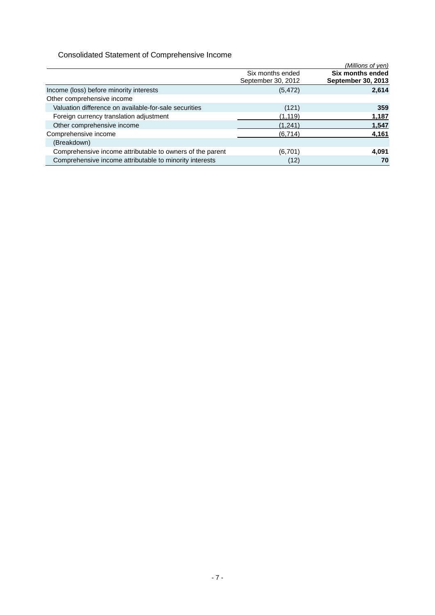## Consolidated Statement of Comprehensive Income

|                                                           |                                        | (Millions of yen)                      |
|-----------------------------------------------------------|----------------------------------------|----------------------------------------|
|                                                           | Six months ended<br>September 30, 2012 | Six months ended<br>September 30, 2013 |
| Income (loss) before minority interests                   | (5, 472)                               | 2,614                                  |
| Other comprehensive income                                |                                        |                                        |
| Valuation difference on available-for-sale securities     | (121)                                  | 359                                    |
| Foreign currency translation adjustment                   | (1, 119)                               | 1,187                                  |
| Other comprehensive income                                | (1,241)                                | 1,547                                  |
| Comprehensive income                                      | (6, 714)                               | 4,161                                  |
| (Breakdown)                                               |                                        |                                        |
| Comprehensive income attributable to owners of the parent | (6,701)                                | 4,091                                  |
| Comprehensive income attributable to minority interests   | (12)                                   | 70                                     |